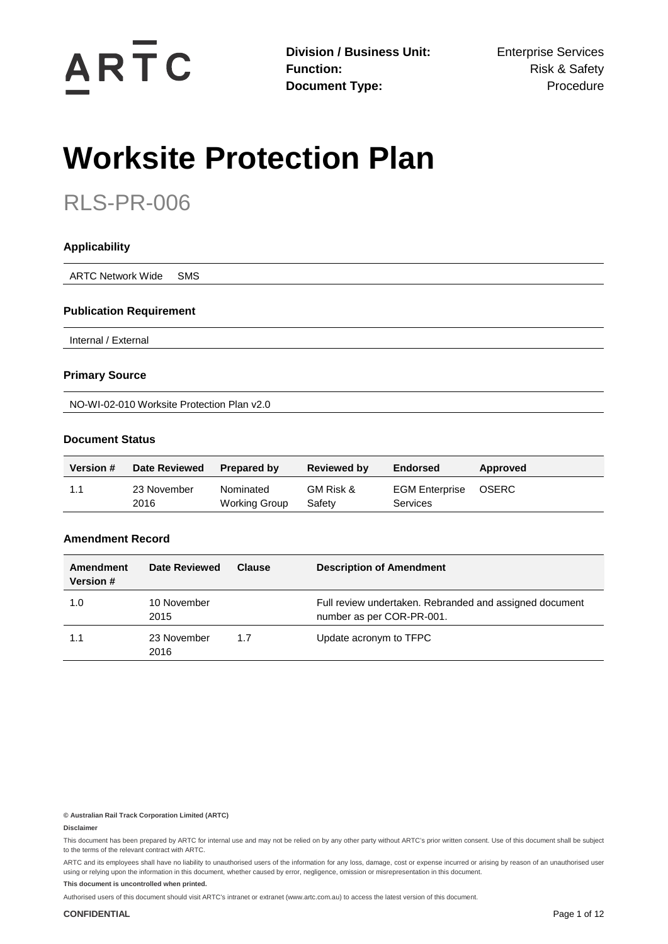

# **Worksite Protection Plan**

## RLS-PR-006

| <b>Applicability</b>           |  |  |  |
|--------------------------------|--|--|--|
| ARTC Network Wide SMS          |  |  |  |
| <b>Publication Requirement</b> |  |  |  |

Internal / External

#### **Primary Source**

NO-WI-02-010 Worksite Protection Plan v2.0

#### **Document Status**

| <b>Version #</b> | <b>Date Reviewed</b> | <b>Prepared by</b>         | <b>Reviewed by</b>  | Endorsed                                 | Approved     |
|------------------|----------------------|----------------------------|---------------------|------------------------------------------|--------------|
|                  | 23 November<br>2016  | Nominated<br>Working Group | GM Risk &<br>Safety | <b>EGM Enterprise</b><br><b>Services</b> | <b>OSERC</b> |

#### **Amendment Record**

| Amendment<br>Version # | Date Reviewed       | <b>Clause</b> | <b>Description of Amendment</b>                                                      |
|------------------------|---------------------|---------------|--------------------------------------------------------------------------------------|
| 1.0                    | 10 November<br>2015 |               | Full review undertaken. Rebranded and assigned document<br>number as per COR-PR-001. |
| 1.1                    | 23 November<br>2016 | 1.7           | Update acronym to TFPC                                                               |

**© Australian Rail Track Corporation Limited (ARTC)**

#### **Disclaimer**

This document has been prepared by ARTC for internal use and may not be relied on by any other party without ARTC's prior written consent. Use of this document shall be subject to the terms of the relevant contract with ARTC.

ARTC and its employees shall have no liability to unauthorised users of the information for any loss, damage, cost or expense incurred or arising by reason of an unauthorised user using or relying upon the information in this document, whether caused by error, negligence, omission or misrepresentation in this document.

**This document is uncontrolled when printed.** 

Authorised users of this document should visit ARTC's intranet or extranet [\(www.artc.com.au\)](http://www.artc.com.au/) to access the latest version of this document.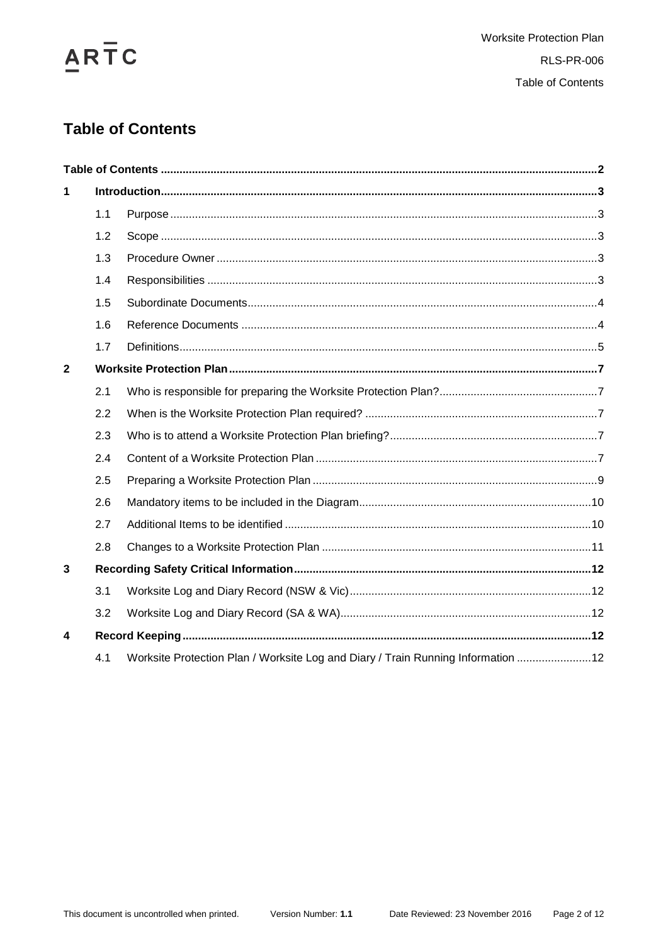

## <span id="page-1-0"></span>**Table of Contents**

| 1            |     |                                                                                   |  |
|--------------|-----|-----------------------------------------------------------------------------------|--|
|              | 1.1 |                                                                                   |  |
|              | 1.2 |                                                                                   |  |
|              | 1.3 |                                                                                   |  |
|              | 1.4 |                                                                                   |  |
|              | 1.5 |                                                                                   |  |
|              | 1.6 |                                                                                   |  |
|              | 1.7 |                                                                                   |  |
| $\mathbf{2}$ |     |                                                                                   |  |
|              | 2.1 |                                                                                   |  |
|              | 2.2 |                                                                                   |  |
|              | 2.3 |                                                                                   |  |
|              | 2.4 |                                                                                   |  |
|              | 2.5 |                                                                                   |  |
|              | 2.6 |                                                                                   |  |
|              | 2.7 |                                                                                   |  |
|              | 2.8 |                                                                                   |  |
| 3            |     |                                                                                   |  |
|              | 3.1 |                                                                                   |  |
|              | 3.2 |                                                                                   |  |
| 4            |     |                                                                                   |  |
|              | 4.1 | Worksite Protection Plan / Worksite Log and Diary / Train Running Information  12 |  |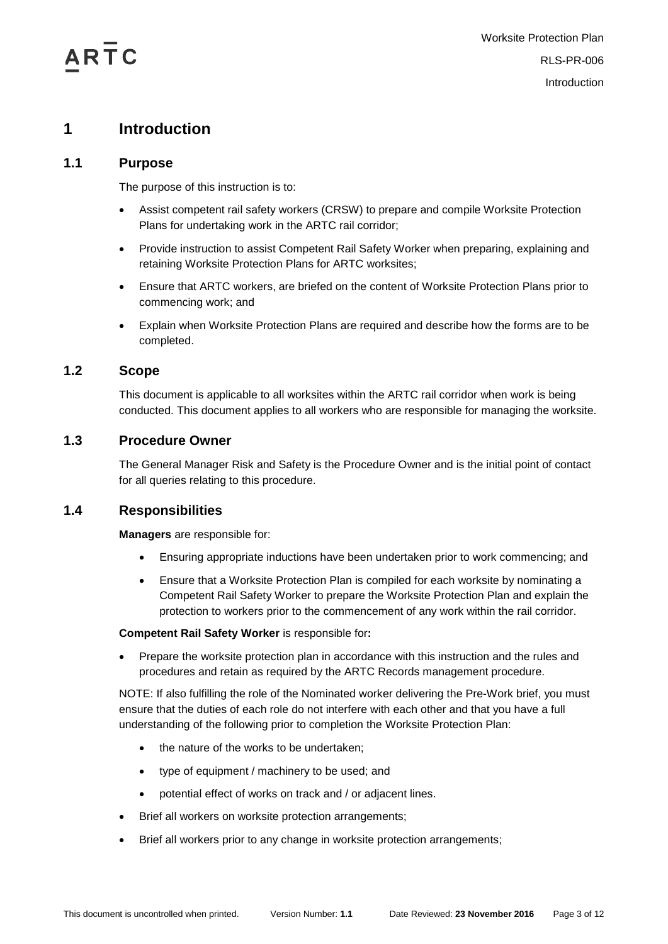## <span id="page-2-0"></span>**1 Introduction**

#### <span id="page-2-1"></span>**1.1 Purpose**

The purpose of this instruction is to:

- Assist competent rail safety workers (CRSW) to prepare and compile Worksite Protection Plans for undertaking work in the ARTC rail corridor;
- Provide instruction to assist Competent Rail Safety Worker when preparing, explaining and retaining Worksite Protection Plans for ARTC worksites;
- Ensure that ARTC workers, are briefed on the content of Worksite Protection Plans prior to commencing work; and
- Explain when Worksite Protection Plans are required and describe how the forms are to be completed.

#### <span id="page-2-2"></span>**1.2 Scope**

This document is applicable to all worksites within the ARTC rail corridor when work is being conducted. This document applies to all workers who are responsible for managing the worksite.

#### <span id="page-2-3"></span>**1.3 Procedure Owner**

The General Manager Risk and Safety is the Procedure Owner and is the initial point of contact for all queries relating to this procedure.

#### <span id="page-2-4"></span>**1.4 Responsibilities**

**Managers** are responsible for:

- Ensuring appropriate inductions have been undertaken prior to work commencing; and
- Ensure that a Worksite Protection Plan is compiled for each worksite by nominating a Competent Rail Safety Worker to prepare the Worksite Protection Plan and explain the protection to workers prior to the commencement of any work within the rail corridor.

#### **Competent Rail Safety Worker** is responsible for**:**

• Prepare the worksite protection plan in accordance with this instruction and the rules and procedures and retain as required by the ARTC Records management procedure.

NOTE: If also fulfilling the role of the Nominated worker delivering the Pre-Work brief, you must ensure that the duties of each role do not interfere with each other and that you have a full understanding of the following prior to completion the Worksite Protection Plan:

- the nature of the works to be undertaken;
- type of equipment / machinery to be used; and
- potential effect of works on track and / or adjacent lines.
- Brief all workers on worksite protection arrangements;
- Brief all workers prior to any change in worksite protection arrangements;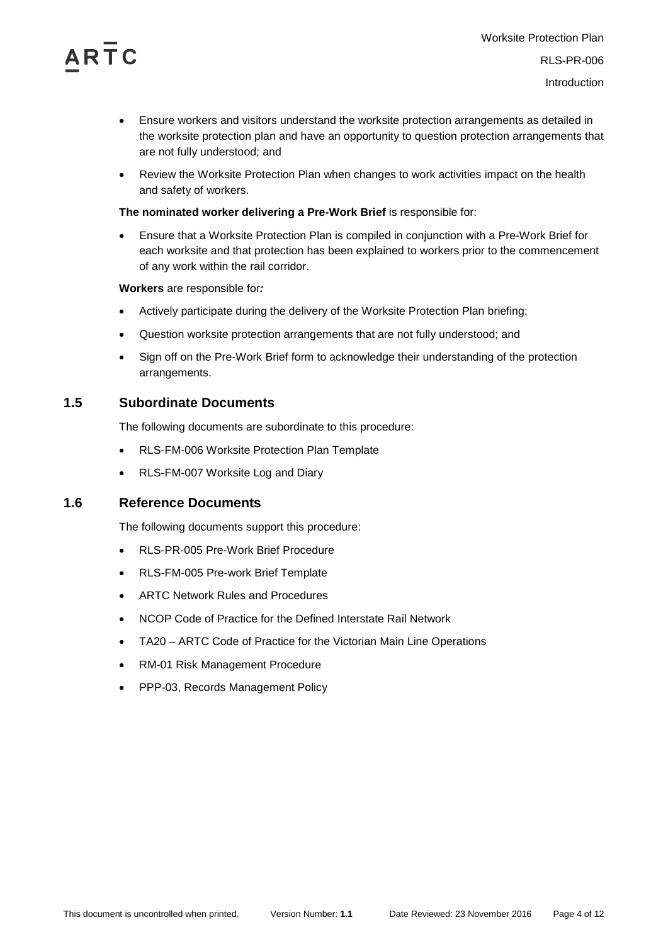

- Ensure workers and visitors understand the worksite protection arrangements as detailed in the worksite protection plan and have an opportunity to question protection arrangements that are not fully understood; and
- Review the Worksite Protection Plan when changes to work activities impact on the health and safety of workers.

#### **The nominated worker delivering a Pre-Work Brief** is responsible for:

• Ensure that a Worksite Protection Plan is compiled in conjunction with a Pre-Work Brief for each worksite and that protection has been explained to workers prior to the commencement of any work within the rail corridor.

**Workers** are responsible for*:*

- Actively participate during the delivery of the Worksite Protection Plan briefing;
- Question worksite protection arrangements that are not fully understood; and
- Sign off on the Pre-Work Brief form to acknowledge their understanding of the protection arrangements.

#### <span id="page-3-0"></span>**1.5 Subordinate Documents**

The following documents are subordinate to this procedure:

- RLS-FM-006 Worksite Protection Plan Template
- RLS-FM-007 Worksite Log and Diary

#### <span id="page-3-1"></span>**1.6 Reference Documents**

The following documents support this procedure:

- RLS-PR-005 Pre-Work Brief Procedure
- RLS-FM-005 Pre-work Brief Template
- ARTC Network Rules and Procedures
- NCOP Code of Practice for the Defined Interstate Rail Network
- TA20 ARTC Code of Practice for the Victorian Main Line Operations
- RM-01 Risk Management Procedure
- PPP-03, Records Management Policy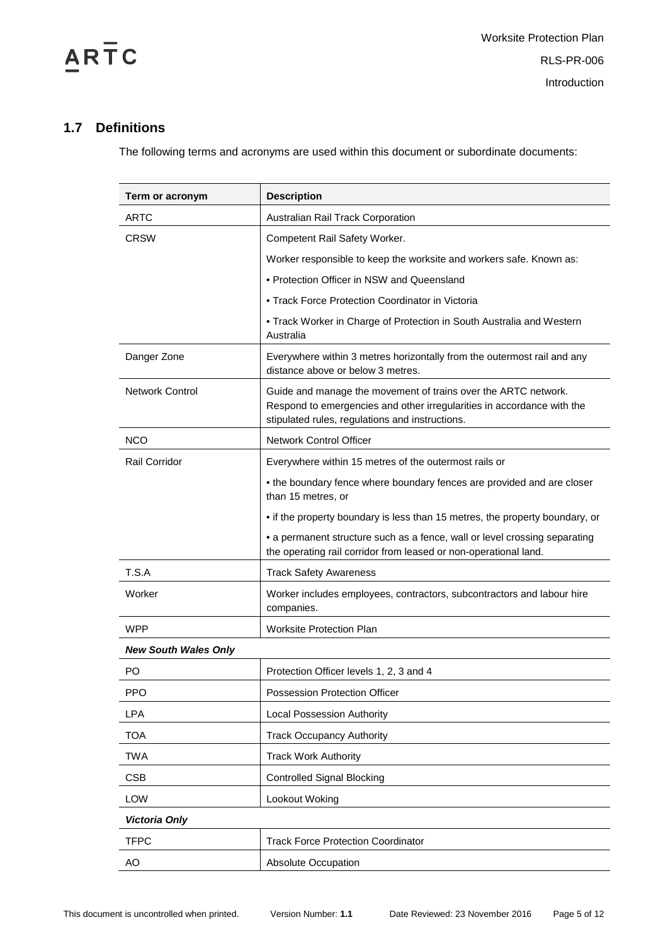

### <span id="page-4-0"></span>**1.7 Definitions**

The following terms and acronyms are used within this document or subordinate documents:

| Term or acronym             | <b>Description</b>                                                                                                                                                                          |
|-----------------------------|---------------------------------------------------------------------------------------------------------------------------------------------------------------------------------------------|
| <b>ARTC</b>                 | Australian Rail Track Corporation                                                                                                                                                           |
| <b>CRSW</b>                 | Competent Rail Safety Worker.                                                                                                                                                               |
|                             | Worker responsible to keep the worksite and workers safe. Known as:                                                                                                                         |
|                             | • Protection Officer in NSW and Queensland                                                                                                                                                  |
|                             | • Track Force Protection Coordinator in Victoria                                                                                                                                            |
|                             | • Track Worker in Charge of Protection in South Australia and Western<br>Australia                                                                                                          |
| Danger Zone                 | Everywhere within 3 metres horizontally from the outermost rail and any<br>distance above or below 3 metres.                                                                                |
| <b>Network Control</b>      | Guide and manage the movement of trains over the ARTC network.<br>Respond to emergencies and other irregularities in accordance with the<br>stipulated rules, regulations and instructions. |
| <b>NCO</b>                  | <b>Network Control Officer</b>                                                                                                                                                              |
| Rail Corridor               | Everywhere within 15 metres of the outermost rails or                                                                                                                                       |
|                             | • the boundary fence where boundary fences are provided and are closer<br>than 15 metres, or                                                                                                |
|                             | • if the property boundary is less than 15 metres, the property boundary, or                                                                                                                |
|                             | • a permanent structure such as a fence, wall or level crossing separating<br>the operating rail corridor from leased or non-operational land.                                              |
| T.S.A                       | <b>Track Safety Awareness</b>                                                                                                                                                               |
| Worker                      | Worker includes employees, contractors, subcontractors and labour hire<br>companies.                                                                                                        |
| <b>WPP</b>                  | <b>Worksite Protection Plan</b>                                                                                                                                                             |
| <b>New South Wales Only</b> |                                                                                                                                                                                             |
| PO                          | Protection Officer levels 1, 2, 3 and 4                                                                                                                                                     |
| <b>PPO</b>                  | Possession Protection Officer                                                                                                                                                               |
| LPA                         | <b>Local Possession Authority</b>                                                                                                                                                           |
| <b>TOA</b>                  | <b>Track Occupancy Authority</b>                                                                                                                                                            |
| <b>TWA</b>                  | <b>Track Work Authority</b>                                                                                                                                                                 |
| <b>CSB</b>                  | <b>Controlled Signal Blocking</b>                                                                                                                                                           |
| <b>LOW</b>                  | Lookout Woking                                                                                                                                                                              |
| <b>Victoria Only</b>        |                                                                                                                                                                                             |
| <b>TFPC</b>                 | <b>Track Force Protection Coordinator</b>                                                                                                                                                   |
| AO                          | Absolute Occupation                                                                                                                                                                         |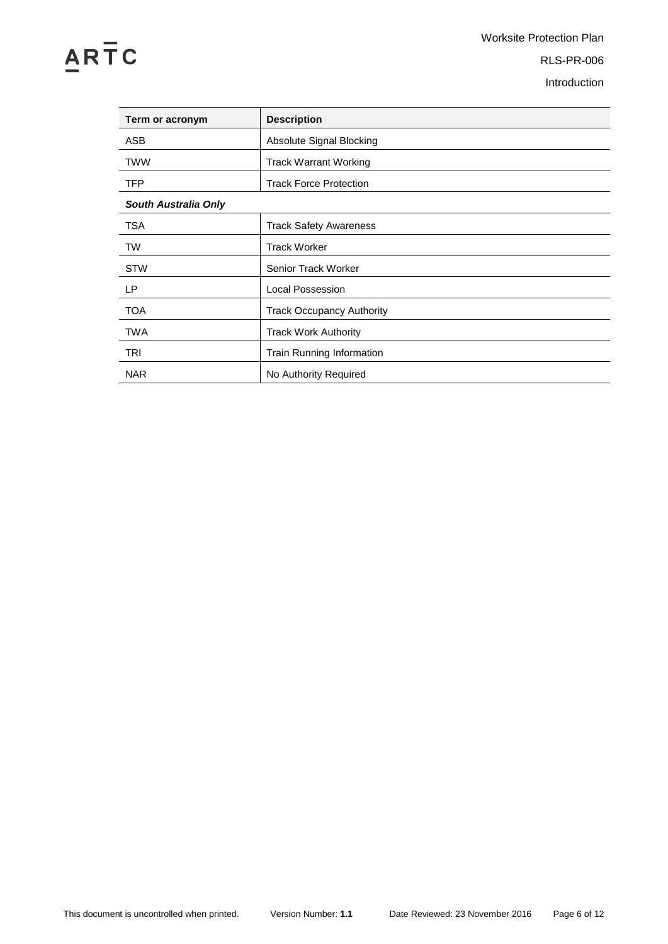# $\overline{AR}$   $\overline{T}$   $C$

Worksite Protection Plan RLS-PR-006 Introduction

| Term or acronym             | <b>Description</b>               |  |
|-----------------------------|----------------------------------|--|
| ASB                         | Absolute Signal Blocking         |  |
| <b>TWW</b>                  | <b>Track Warrant Working</b>     |  |
| <b>TFP</b>                  | <b>Track Force Protection</b>    |  |
| <b>South Australia Only</b> |                                  |  |
| <b>TSA</b>                  | <b>Track Safety Awareness</b>    |  |
| <b>TW</b>                   | <b>Track Worker</b>              |  |
| <b>STW</b>                  | Senior Track Worker              |  |
| LP.                         | Local Possession                 |  |
| <b>TOA</b>                  | <b>Track Occupancy Authority</b> |  |
| <b>TWA</b>                  | <b>Track Work Authority</b>      |  |
| TRI                         | <b>Train Running Information</b> |  |
| <b>NAR</b>                  | No Authority Required            |  |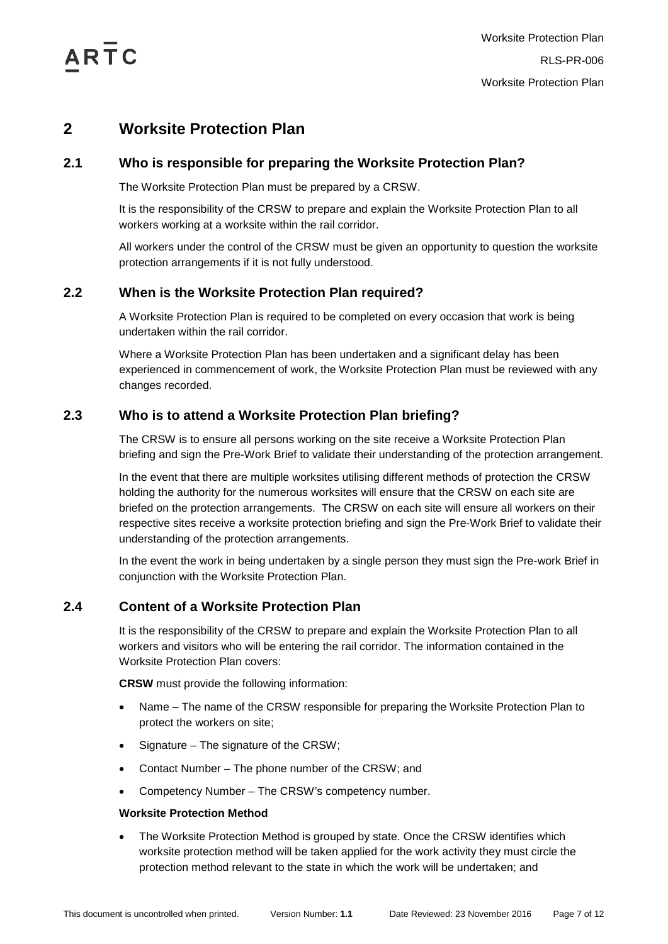$\triangle$ RTC

## <span id="page-6-0"></span>**2 Worksite Protection Plan**

#### <span id="page-6-1"></span>**2.1 Who is responsible for preparing the Worksite Protection Plan?**

The Worksite Protection Plan must be prepared by a CRSW.

It is the responsibility of the CRSW to prepare and explain the Worksite Protection Plan to all workers working at a worksite within the rail corridor.

All workers under the control of the CRSW must be given an opportunity to question the worksite protection arrangements if it is not fully understood.

#### <span id="page-6-2"></span>**2.2 When is the Worksite Protection Plan required?**

A Worksite Protection Plan is required to be completed on every occasion that work is being undertaken within the rail corridor.

Where a Worksite Protection Plan has been undertaken and a significant delay has been experienced in commencement of work, the Worksite Protection Plan must be reviewed with any changes recorded.

#### <span id="page-6-3"></span>**2.3 Who is to attend a Worksite Protection Plan briefing?**

The CRSW is to ensure all persons working on the site receive a Worksite Protection Plan briefing and sign the Pre-Work Brief to validate their understanding of the protection arrangement.

In the event that there are multiple worksites utilising different methods of protection the CRSW holding the authority for the numerous worksites will ensure that the CRSW on each site are briefed on the protection arrangements. The CRSW on each site will ensure all workers on their respective sites receive a worksite protection briefing and sign the Pre-Work Brief to validate their understanding of the protection arrangements.

In the event the work in being undertaken by a single person they must sign the Pre-work Brief in conjunction with the Worksite Protection Plan.

#### <span id="page-6-4"></span>**2.4 Content of a Worksite Protection Plan**

It is the responsibility of the CRSW to prepare and explain the Worksite Protection Plan to all workers and visitors who will be entering the rail corridor. The information contained in the Worksite Protection Plan covers:

**CRSW** must provide the following information:

- Name The name of the CRSW responsible for preparing the Worksite Protection Plan to protect the workers on site;
- Signature The signature of the CRSW;
- Contact Number The phone number of the CRSW; and
- Competency Number The CRSW's competency number.

#### **Worksite Protection Method**

• The Worksite Protection Method is grouped by state. Once the CRSW identifies which worksite protection method will be taken applied for the work activity they must circle the protection method relevant to the state in which the work will be undertaken; and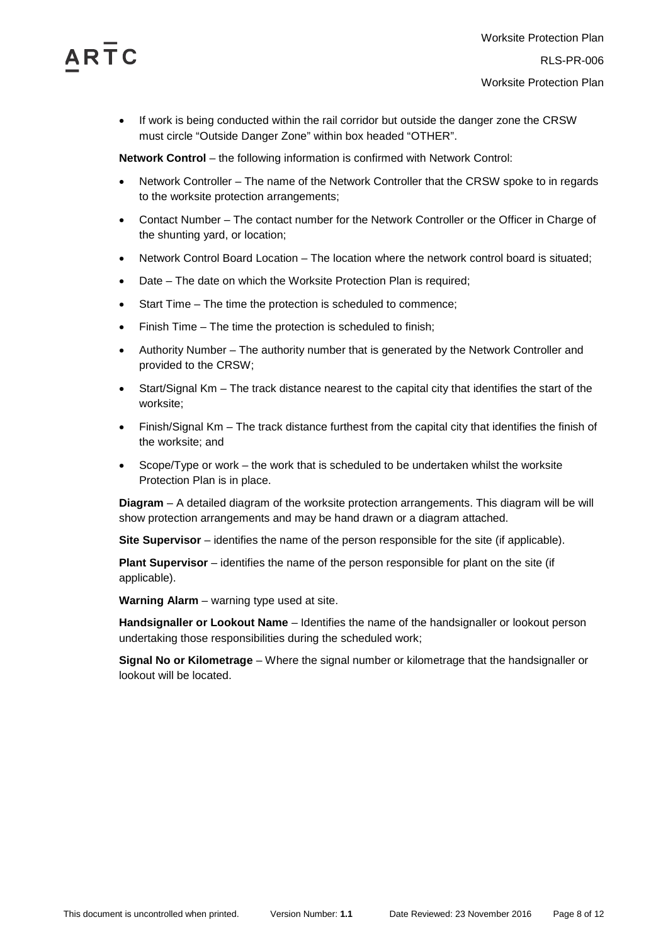

• If work is being conducted within the rail corridor but outside the danger zone the CRSW must circle "Outside Danger Zone" within box headed "OTHER".

**Network Control** – the following information is confirmed with Network Control:

- Network Controller The name of the Network Controller that the CRSW spoke to in regards to the worksite protection arrangements;
- Contact Number The contact number for the Network Controller or the Officer in Charge of the shunting yard, or location;
- Network Control Board Location The location where the network control board is situated;
- Date The date on which the Worksite Protection Plan is required;
- Start Time The time the protection is scheduled to commence;
- Finish Time The time the protection is scheduled to finish;
- Authority Number The authority number that is generated by the Network Controller and provided to the CRSW;
- Start/Signal Km The track distance nearest to the capital city that identifies the start of the worksite;
- Finish/Signal Km The track distance furthest from the capital city that identifies the finish of the worksite; and
- Scope/Type or work the work that is scheduled to be undertaken whilst the worksite Protection Plan is in place.

**Diagram** – A detailed diagram of the worksite protection arrangements. This diagram will be will show protection arrangements and may be hand drawn or a diagram attached.

**Site Supervisor** – identifies the name of the person responsible for the site (if applicable).

**Plant Supervisor** – identifies the name of the person responsible for plant on the site (if applicable).

**Warning Alarm** – warning type used at site.

**Handsignaller or Lookout Name** – Identifies the name of the handsignaller or lookout person undertaking those responsibilities during the scheduled work;

**Signal No or Kilometrage** – Where the signal number or kilometrage that the handsignaller or lookout will be located.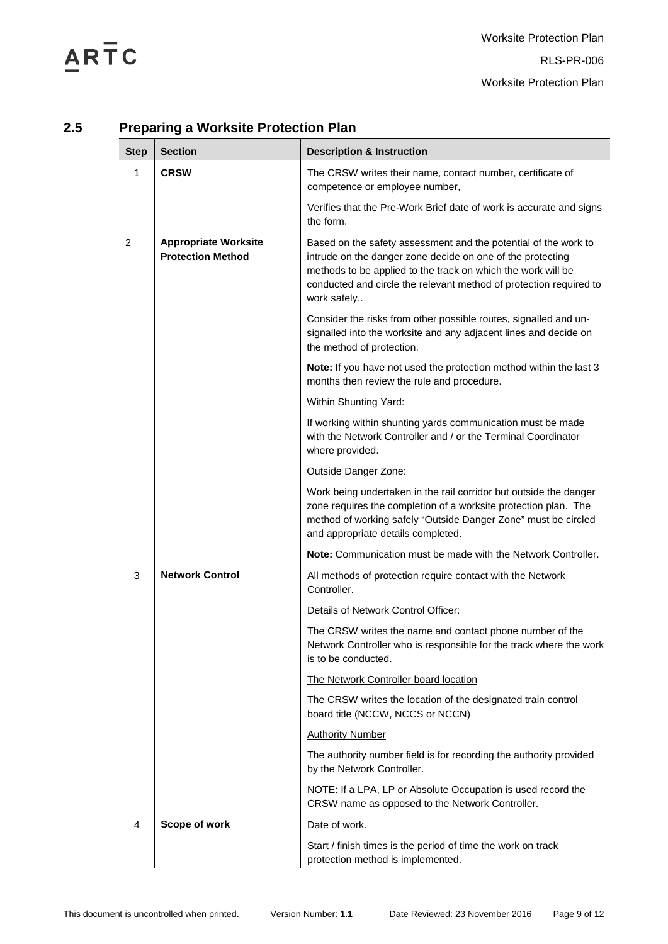# ARTC

| <b>Step</b> | <b>Section</b>                                          | <b>Description &amp; Instruction</b>                                                                                                                                                                                                                                               |  |
|-------------|---------------------------------------------------------|------------------------------------------------------------------------------------------------------------------------------------------------------------------------------------------------------------------------------------------------------------------------------------|--|
| 1           | <b>CRSW</b>                                             | The CRSW writes their name, contact number, certificate of<br>competence or employee number,                                                                                                                                                                                       |  |
|             |                                                         | Verifies that the Pre-Work Brief date of work is accurate and signs<br>the form.                                                                                                                                                                                                   |  |
| 2           | <b>Appropriate Worksite</b><br><b>Protection Method</b> | Based on the safety assessment and the potential of the work to<br>intrude on the danger zone decide on one of the protecting<br>methods to be applied to the track on which the work will be<br>conducted and circle the relevant method of protection required to<br>work safely |  |
|             |                                                         | Consider the risks from other possible routes, signalled and un-<br>signalled into the worksite and any adjacent lines and decide on<br>the method of protection.                                                                                                                  |  |
|             |                                                         | Note: If you have not used the protection method within the last 3<br>months then review the rule and procedure.                                                                                                                                                                   |  |
|             |                                                         | Within Shunting Yard:                                                                                                                                                                                                                                                              |  |
|             |                                                         | If working within shunting yards communication must be made<br>with the Network Controller and / or the Terminal Coordinator<br>where provided.                                                                                                                                    |  |
|             |                                                         | Outside Danger Zone:                                                                                                                                                                                                                                                               |  |
|             |                                                         | Work being undertaken in the rail corridor but outside the danger<br>zone requires the completion of a worksite protection plan. The<br>method of working safely "Outside Danger Zone" must be circled<br>and appropriate details completed.                                       |  |
|             |                                                         | Note: Communication must be made with the Network Controller.                                                                                                                                                                                                                      |  |
| 3           | <b>Network Control</b>                                  | All methods of protection require contact with the Network<br>Controller.                                                                                                                                                                                                          |  |
|             |                                                         | Details of Network Control Officer:                                                                                                                                                                                                                                                |  |
|             |                                                         | The CRSW writes the name and contact phone number of the<br>Network Controller who is responsible for the track where the work<br>is to be conducted.                                                                                                                              |  |
|             |                                                         | The Network Controller board location                                                                                                                                                                                                                                              |  |
|             |                                                         | The CRSW writes the location of the designated train control<br>board title (NCCW, NCCS or NCCN)                                                                                                                                                                                   |  |
|             |                                                         | <b>Authority Number</b>                                                                                                                                                                                                                                                            |  |
|             |                                                         | The authority number field is for recording the authority provided<br>by the Network Controller.                                                                                                                                                                                   |  |
|             |                                                         | NOTE: If a LPA, LP or Absolute Occupation is used record the<br>CRSW name as opposed to the Network Controller.                                                                                                                                                                    |  |
| 4           | Scope of work                                           | Date of work.                                                                                                                                                                                                                                                                      |  |
|             |                                                         | Start / finish times is the period of time the work on track<br>protection method is implemented.                                                                                                                                                                                  |  |

### <span id="page-8-0"></span>**2.5 Preparing a Worksite Protection Plan**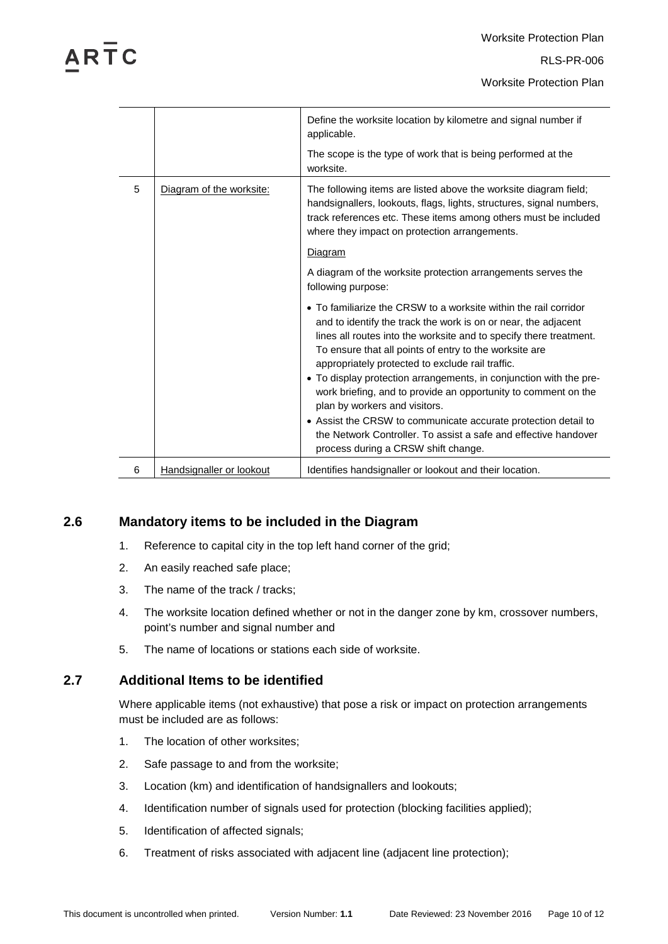Worksite Protection Plan

|   |                          | Define the worksite location by kilometre and signal number if<br>applicable.                                                                                                                                                                                                                                          |
|---|--------------------------|------------------------------------------------------------------------------------------------------------------------------------------------------------------------------------------------------------------------------------------------------------------------------------------------------------------------|
|   |                          | The scope is the type of work that is being performed at the<br>worksite.                                                                                                                                                                                                                                              |
| 5 | Diagram of the worksite: | The following items are listed above the worksite diagram field;<br>handsignallers, lookouts, flags, lights, structures, signal numbers,<br>track references etc. These items among others must be included<br>where they impact on protection arrangements.                                                           |
|   |                          | Diagram                                                                                                                                                                                                                                                                                                                |
|   |                          | A diagram of the worksite protection arrangements serves the<br>following purpose:                                                                                                                                                                                                                                     |
|   |                          | • To familiarize the CRSW to a worksite within the rail corridor<br>and to identify the track the work is on or near, the adjacent<br>lines all routes into the worksite and to specify there treatment.<br>To ensure that all points of entry to the worksite are<br>appropriately protected to exclude rail traffic. |
|   |                          | • To display protection arrangements, in conjunction with the pre-<br>work briefing, and to provide an opportunity to comment on the<br>plan by workers and visitors.                                                                                                                                                  |
|   |                          | • Assist the CRSW to communicate accurate protection detail to<br>the Network Controller. To assist a safe and effective handover<br>process during a CRSW shift change.                                                                                                                                               |
| 6 | Handsignaller or lookout | Identifies handsignaller or lookout and their location.                                                                                                                                                                                                                                                                |

#### <span id="page-9-0"></span>**2.6 Mandatory items to be included in the Diagram**

- 1. Reference to capital city in the top left hand corner of the grid;
- 2. An easily reached safe place;
- 3. The name of the track / tracks;
- 4. The worksite location defined whether or not in the danger zone by km, crossover numbers, point's number and signal number and
- 5. The name of locations or stations each side of worksite.

#### <span id="page-9-1"></span>**2.7 Additional Items to be identified**

Where applicable items (not exhaustive) that pose a risk or impact on protection arrangements must be included are as follows:

- 1. The location of other worksites;
- 2. Safe passage to and from the worksite;
- 3. Location (km) and identification of handsignallers and lookouts;
- 4. Identification number of signals used for protection (blocking facilities applied);
- 5. Identification of affected signals;
- 6. Treatment of risks associated with adjacent line (adjacent line protection);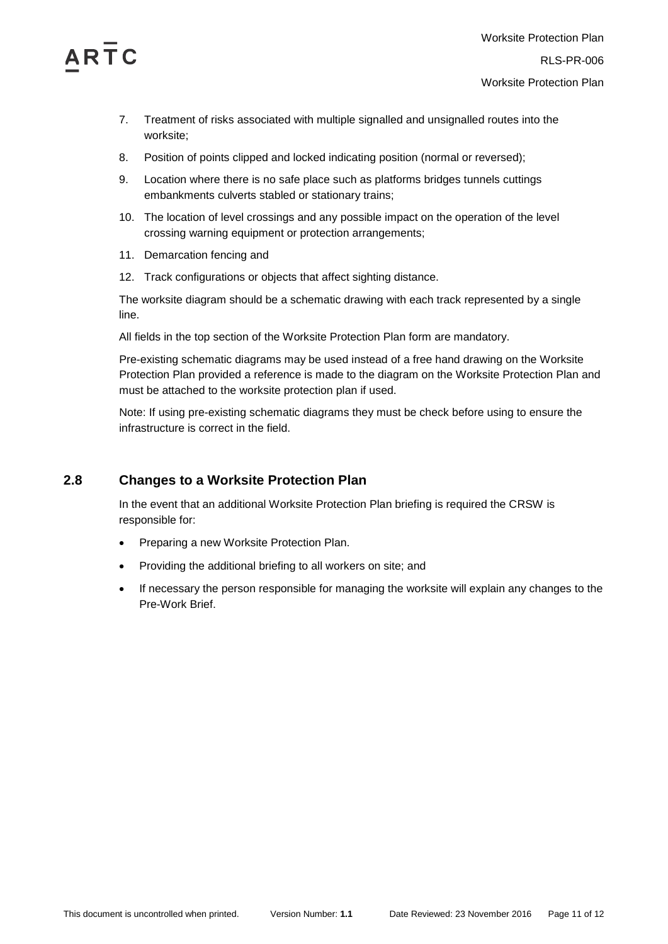

- 7. Treatment of risks associated with multiple signalled and unsignalled routes into the worksite;
- 8. Position of points clipped and locked indicating position (normal or reversed);
- 9. Location where there is no safe place such as platforms bridges tunnels cuttings embankments culverts stabled or stationary trains;
- 10. The location of level crossings and any possible impact on the operation of the level crossing warning equipment or protection arrangements;
- 11. Demarcation fencing and
- 12. Track configurations or objects that affect sighting distance.

The worksite diagram should be a schematic drawing with each track represented by a single line.

All fields in the top section of the Worksite Protection Plan form are mandatory.

Pre-existing schematic diagrams may be used instead of a free hand drawing on the Worksite Protection Plan provided a reference is made to the diagram on the Worksite Protection Plan and must be attached to the worksite protection plan if used.

Note: If using pre-existing schematic diagrams they must be check before using to ensure the infrastructure is correct in the field.

#### <span id="page-10-0"></span>**2.8 Changes to a Worksite Protection Plan**

In the event that an additional Worksite Protection Plan briefing is required the CRSW is responsible for:

- Preparing a new Worksite Protection Plan.
- Providing the additional briefing to all workers on site; and
- If necessary the person responsible for managing the worksite will explain any changes to the Pre-Work Brief.